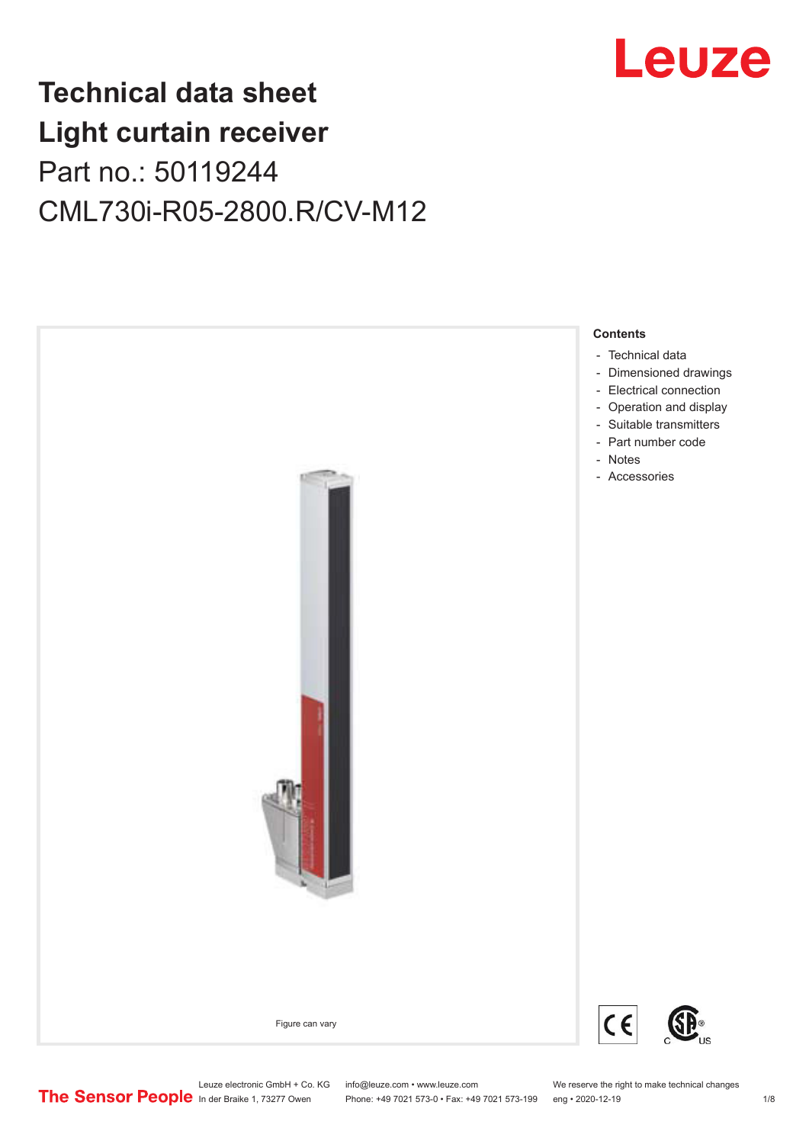

## **Technical data sheet Light curtain receiver** Part no.: 50119244 CML730i-R05-2800.R/CV-M12



Leuze electronic GmbH + Co. KG info@leuze.com • www.leuze.com We reserve the right to make technical changes<br>
The Sensor People in der Braike 1, 73277 Owen Phone: +49 7021 573-0 • Fax: +49 7021 573-199 eng • 2020-12-19

Phone: +49 7021 573-0 • Fax: +49 7021 573-199 eng • 2020-12-19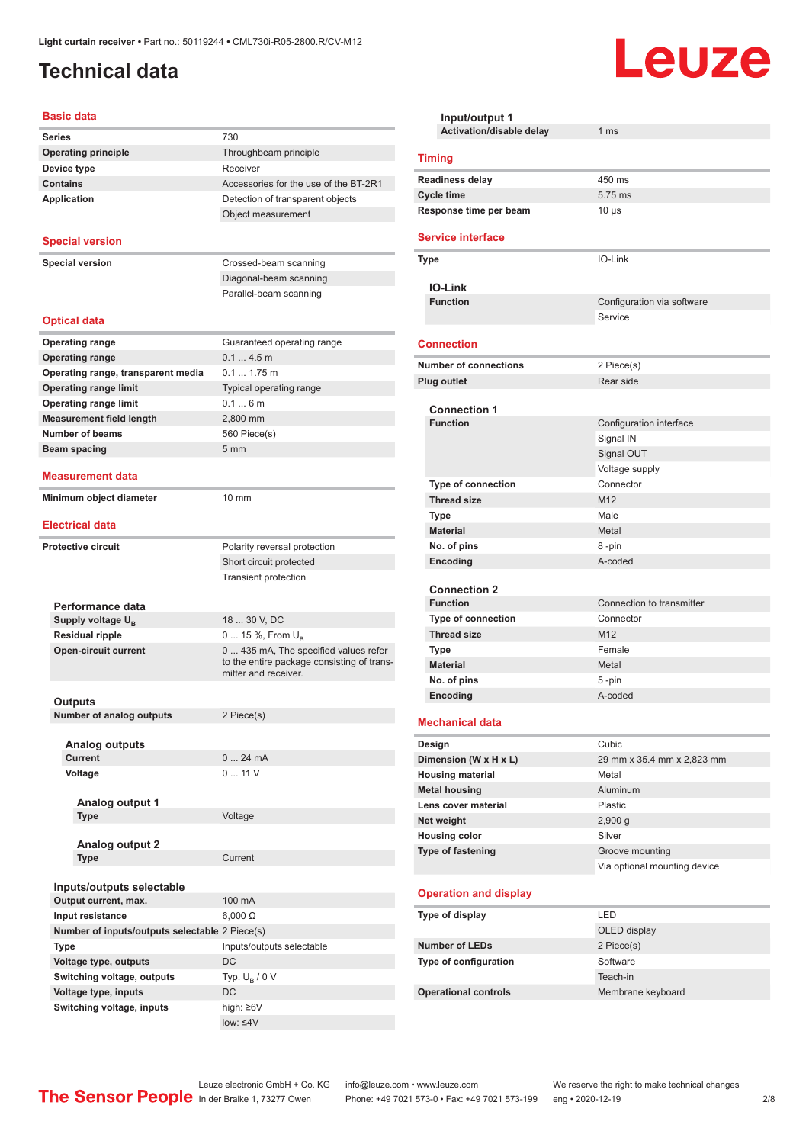## <span id="page-1-0"></span>**Technical data**

| Basic data                                     |                                                                                     |
|------------------------------------------------|-------------------------------------------------------------------------------------|
| <b>Series</b>                                  | 730                                                                                 |
| <b>Operating principle</b>                     | Throughbeam principle                                                               |
| Device type                                    | Receiver                                                                            |
| <b>Contains</b>                                | Accessories for the use of the BT-2R1                                               |
| Application                                    | Detection of transparent objects                                                    |
|                                                | Object measurement                                                                  |
|                                                |                                                                                     |
| <b>Special version</b>                         |                                                                                     |
| <b>Special version</b>                         | Crossed-beam scanning                                                               |
|                                                | Diagonal-beam scanning                                                              |
|                                                | Parallel-beam scanning                                                              |
|                                                |                                                                                     |
| <b>Optical data</b>                            |                                                                                     |
| <b>Operating range</b>                         | Guaranteed operating range                                                          |
| <b>Operating range</b>                         | 0.14.5m                                                                             |
| Operating range, transparent media             | $0.1$ 1.75 m                                                                        |
| <b>Operating range limit</b>                   | Typical operating range                                                             |
| <b>Operating range limit</b>                   | 0.16m                                                                               |
| <b>Measurement field length</b>                | 2,800 mm                                                                            |
| <b>Number of beams</b>                         | 560 Piece(s)                                                                        |
| Beam spacing                                   | 5 <sub>mm</sub>                                                                     |
|                                                |                                                                                     |
| <b>Measurement data</b>                        |                                                                                     |
| Minimum object diameter                        | $10 \text{ mm}$                                                                     |
|                                                |                                                                                     |
| <b>Electrical data</b>                         |                                                                                     |
| <b>Protective circuit</b>                      | Polarity reversal protection                                                        |
|                                                | Short circuit protected                                                             |
|                                                | <b>Transient protection</b>                                                         |
|                                                |                                                                                     |
| Performance data                               |                                                                                     |
| Supply voltage U <sub>B</sub>                  | 18  30 V, DC                                                                        |
| <b>Residual ripple</b>                         | 0  15 %, From $U_{\rm B}$                                                           |
| <b>Open-circuit current</b>                    | 0  435 mA, The specified values refer<br>to the entire package consisting of trans- |
|                                                | mitter and receiver.                                                                |
|                                                |                                                                                     |
| Outputs                                        |                                                                                     |
| Number of analog outputs                       | 2 Piece(s)                                                                          |
|                                                |                                                                                     |
| Analog outputs<br><b>Current</b>               | 024mA                                                                               |
| Voltage                                        | 011V                                                                                |
|                                                |                                                                                     |
| Analog output 1                                |                                                                                     |
| <b>Type</b>                                    | Voltage                                                                             |
|                                                |                                                                                     |
| <b>Analog output 2</b>                         |                                                                                     |
| Type                                           | Current                                                                             |
|                                                |                                                                                     |
| Inputs/outputs selectable                      |                                                                                     |
| Output current, max.                           | 100 mA                                                                              |
| Input resistance                               | $6,000 \Omega$                                                                      |
| Number of inputs/outputs selectable 2 Piece(s) |                                                                                     |
| Type                                           | Inputs/outputs selectable                                                           |
| Voltage type, outputs                          | DC                                                                                  |
| Switching voltage, outputs                     | Typ. $U_B / 0 V$                                                                    |
| Voltage type, inputs                           | DC                                                                                  |

| Input/output 1                         |                              |  |
|----------------------------------------|------------------------------|--|
| Activation/disable delay               | 1 <sub>ms</sub>              |  |
| <b>Timing</b>                          |                              |  |
| <b>Readiness delay</b>                 | 450 ms                       |  |
| <b>Cycle time</b>                      | 5.75 ms                      |  |
| Response time per beam                 | $10 \mu s$                   |  |
| <b>Service interface</b>               |                              |  |
| <b>Type</b>                            | IO-Link                      |  |
|                                        |                              |  |
| IO-Link                                |                              |  |
| <b>Function</b>                        | Configuration via software   |  |
|                                        | Service                      |  |
| <b>Connection</b>                      |                              |  |
|                                        |                              |  |
| <b>Number of connections</b>           | 2 Piece(s)                   |  |
| <b>Plug outlet</b>                     | Rear side                    |  |
|                                        |                              |  |
| <b>Connection 1</b><br><b>Function</b> | Configuration interface      |  |
|                                        | Signal IN                    |  |
|                                        | Signal OUT                   |  |
|                                        | Voltage supply               |  |
| Type of connection                     | Connector                    |  |
| <b>Thread size</b>                     | M12                          |  |
|                                        | Male                         |  |
| Type                                   | Metal                        |  |
| <b>Material</b>                        |                              |  |
| No. of pins                            | 8-pin                        |  |
| Encoding                               | A-coded                      |  |
| <b>Connection 2</b>                    |                              |  |
| <b>Function</b>                        | Connection to transmitter    |  |
| <b>Type of connection</b>              | Connector                    |  |
| <b>Thread size</b>                     | M12                          |  |
| Type                                   | Female                       |  |
| <b>Material</b>                        | Metal                        |  |
| No. of pins                            | 5-pin                        |  |
| Encoding                               | A-coded                      |  |
|                                        |                              |  |
| <b>Mechanical data</b>                 |                              |  |
| Design                                 | Cubic                        |  |
| Dimension (W x H x L)                  | 29 mm x 35.4 mm x 2,823 mm   |  |
| <b>Housing material</b>                | Metal                        |  |
| <b>Metal housing</b>                   | Aluminum                     |  |
| Lens cover material                    | Plastic                      |  |
| Net weight                             | 2,900q                       |  |
| <b>Housing color</b>                   | Silver                       |  |
| Type of fastening                      | Groove mounting              |  |
|                                        | Via optional mounting device |  |
|                                        |                              |  |
| <b>Operation and display</b>           |                              |  |
| Type of display                        | LED                          |  |
|                                        | OLED display                 |  |
| <b>Number of LEDs</b>                  | 2 Piece(s)                   |  |
| Type of configuration                  | Software                     |  |
|                                        | Teach-in                     |  |
| <b>Operational controls</b>            | Membrane keyboard            |  |

Leuze

**Switching voltage, inputs** high: ≥6V

low: ≤4V

Leuze electronic GmbH + Co. KG info@leuze.com • www.leuze.com We reserve the right to make technical changes

ln der Braike 1, 73277 Owen Phone: +49 7021 573-0 • Fax: +49 7021 573-199 eng • 2020-12-19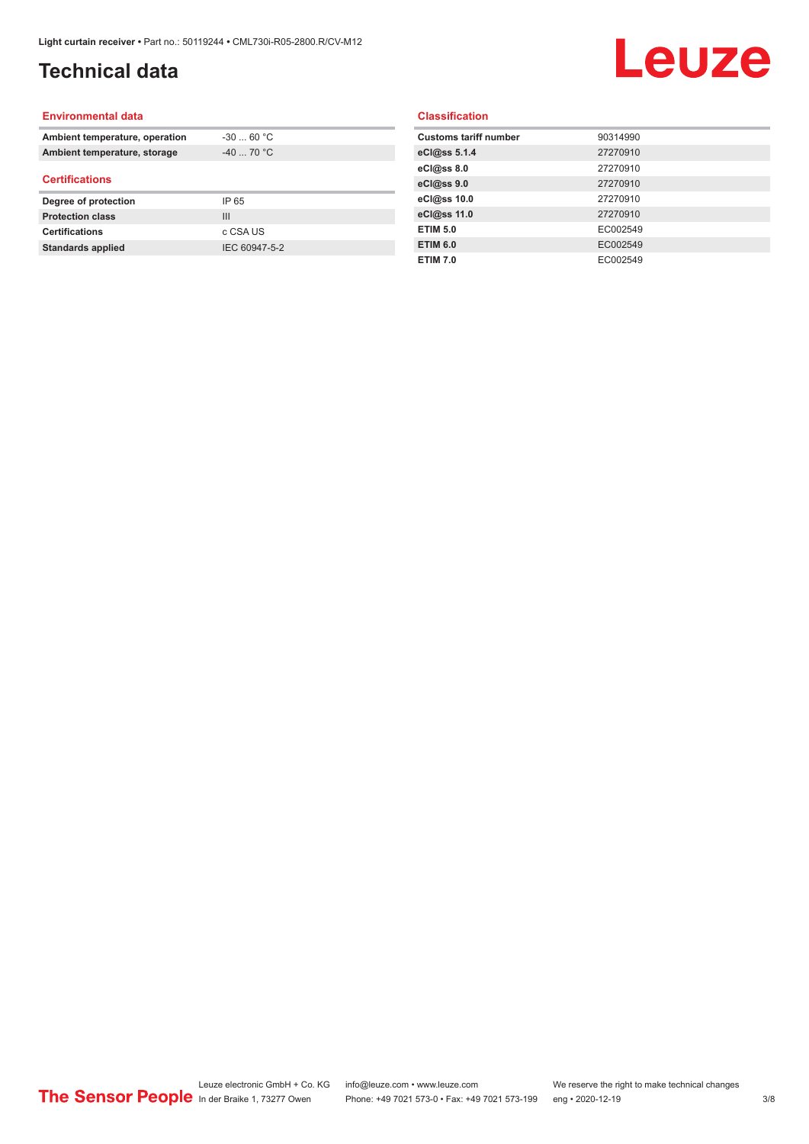## **Technical data**

# Leuze

#### **Environmental data**

| Ambient temperature, operation | $-3060 °C$     |
|--------------------------------|----------------|
| Ambient temperature, storage   | $-40$ 70 °C    |
| <b>Certifications</b>          |                |
|                                |                |
| Degree of protection           | IP 65          |
| <b>Protection class</b>        | $\mathbf{III}$ |
| <b>Certifications</b>          | c CSA US       |

#### **Classification**

| <b>Customs tariff number</b> | 90314990 |
|------------------------------|----------|
| eCl@ss 5.1.4                 | 27270910 |
| eCl@ss 8.0                   | 27270910 |
| eCl@ss 9.0                   | 27270910 |
| eCl@ss 10.0                  | 27270910 |
| eCl@ss 11.0                  | 27270910 |
| <b>ETIM 5.0</b>              | EC002549 |
| <b>ETIM 6.0</b>              | EC002549 |
| <b>ETIM 7.0</b>              | EC002549 |
|                              |          |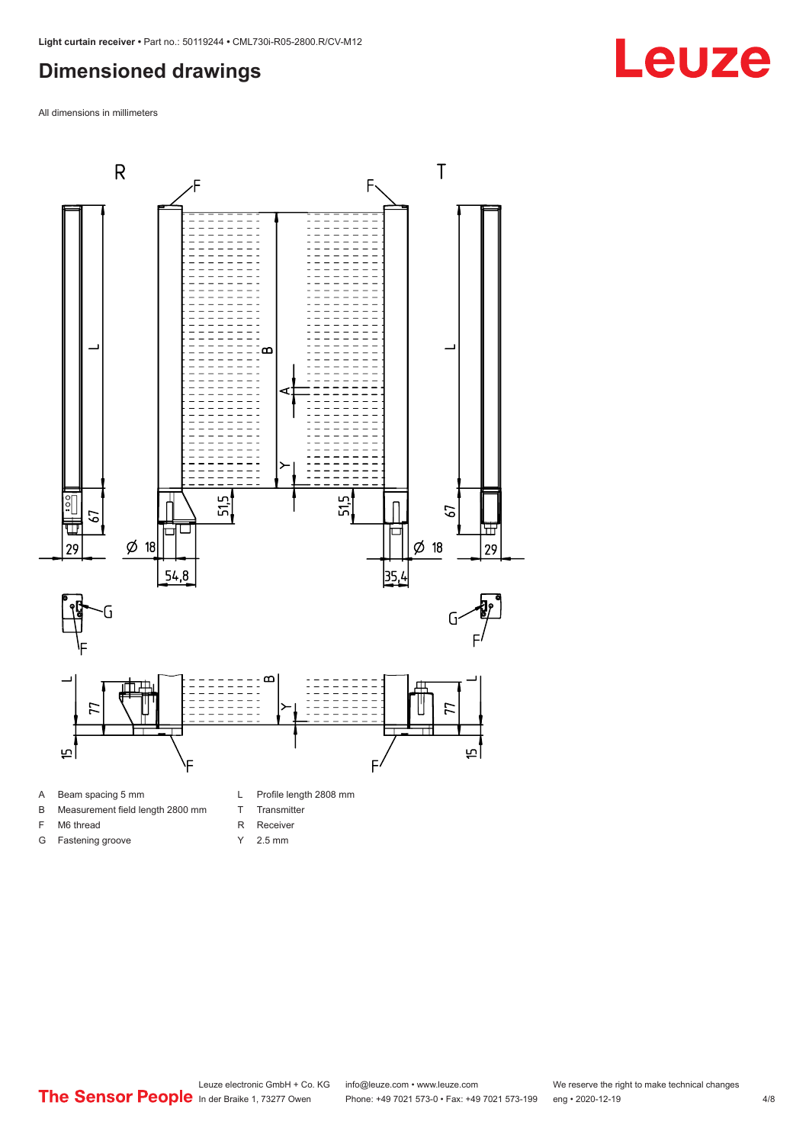### <span id="page-3-0"></span>**Dimensioned drawings**

All dimensions in millimeters



A Beam spacing 5 mm

G Fastening groove

- B Measurement field length 2800 mm
- F M6 thread
- R Receiver
	- Y 2.5 mm

T Transmitter

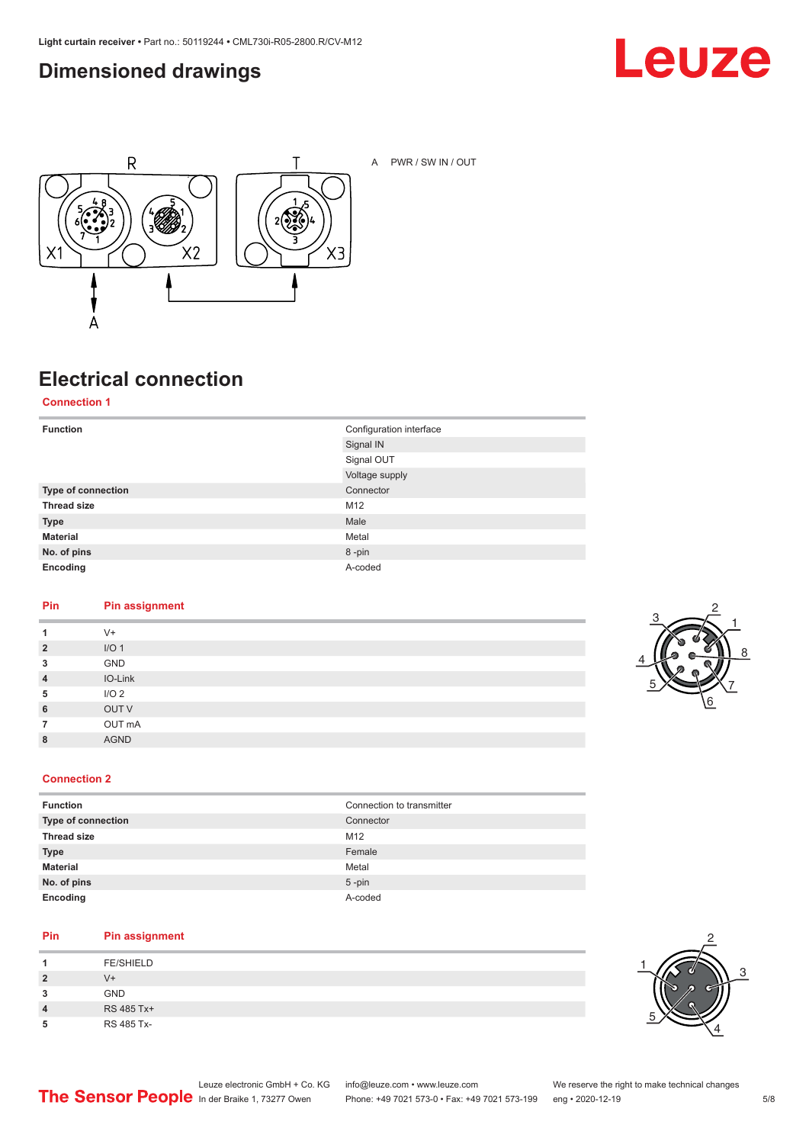#### <span id="page-4-0"></span>**Dimensioned drawings**





A PWR / SW IN / OUT

## **Electrical connection**

**Connection 1**

| <b>Function</b>    | Configuration interface<br>Signal IN |
|--------------------|--------------------------------------|
|                    | Signal OUT                           |
|                    | Voltage supply                       |
| Type of connection | Connector                            |
| <b>Thread size</b> | M12                                  |
| <b>Type</b>        | Male                                 |
| <b>Material</b>    | Metal                                |
| No. of pins        | 8-pin                                |
| Encoding           | A-coded                              |

#### **Pin Pin assignment**

| 1              | $V^+$            |
|----------------|------------------|
| $\overline{2}$ | I/O <sub>1</sub> |
| 3              | GND              |
| $\overline{4}$ | IO-Link          |
| 5              | I/O <sub>2</sub> |
| 6              | OUT V            |
| 7              | OUT mA           |
| 8              | <b>AGND</b>      |
|                |                  |



#### **Connection 2**

| <b>Function</b>    | Connection to transmitter |
|--------------------|---------------------------|
| Type of connection | Connector                 |
| <b>Thread size</b> | M12                       |
| <b>Type</b>        | Female                    |
| <b>Material</b>    | Metal                     |
| No. of pins        | $5$ -pin                  |
| Encoding           | A-coded                   |

#### **Pin Pin assignment**

|                | <b>FE/SHIELD</b> |
|----------------|------------------|
| $\overline{2}$ | V+               |
| 3              | <b>GND</b>       |
| 4              | RS 485 Tx+       |
| 5              | RS 485 Tx-       |

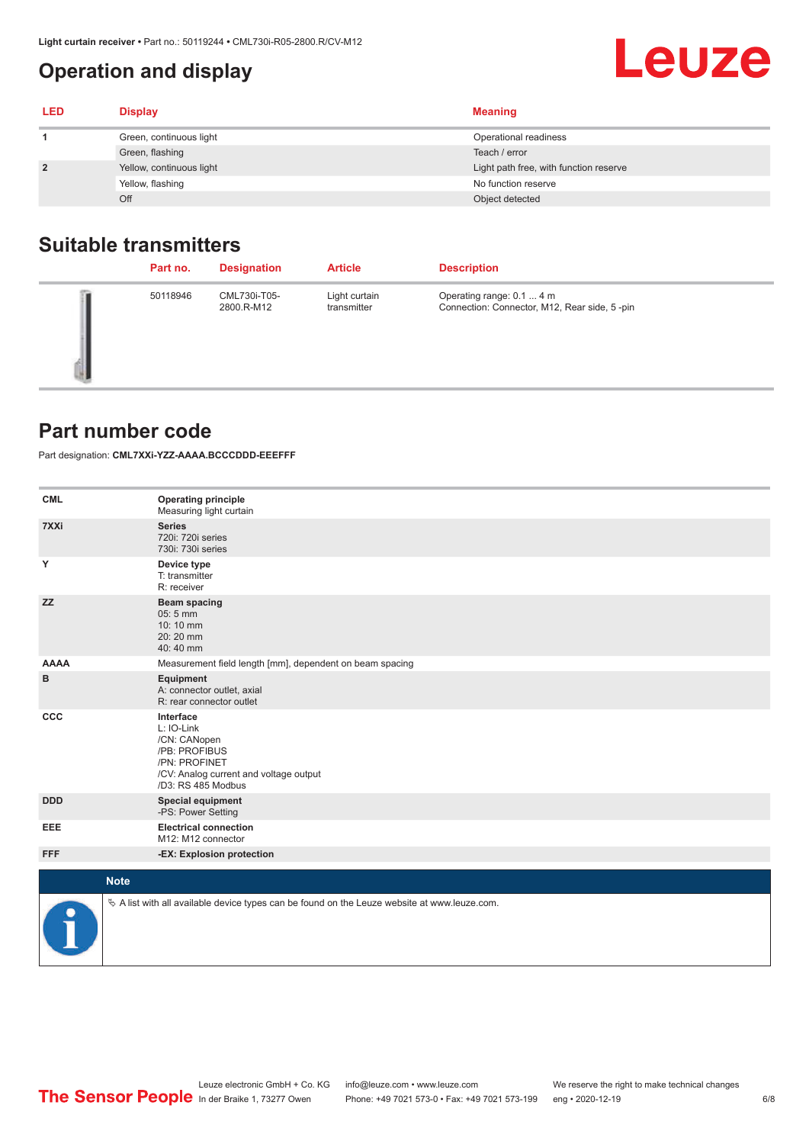### <span id="page-5-0"></span>**Operation and display**

| <b>LED</b>     | <b>Display</b>           | <b>Meaning</b>                         |
|----------------|--------------------------|----------------------------------------|
|                | Green, continuous light  | Operational readiness                  |
|                | Green, flashing          | Teach / error                          |
| $\overline{2}$ | Yellow, continuous light | Light path free, with function reserve |
|                | Yellow, flashing         | No function reserve                    |
|                | Off                      | Object detected                        |

#### **Suitable transmitters**

| Part no. | <b>Designation</b>         | <b>Article</b>               | <b>Description</b>                                                        |
|----------|----------------------------|------------------------------|---------------------------------------------------------------------------|
| 50118946 | CML730i-T05-<br>2800.R-M12 | Light curtain<br>transmitter | Operating range: 0.1  4 m<br>Connection: Connector, M12, Rear side, 5-pin |

#### **Part number code**

Part designation: **CML7XXi-YZZ-AAAA.BCCCDDD-EEEFFF**

| <b>CML</b>           | <b>Operating principle</b><br>Measuring light curtain                                                                                     |
|----------------------|-------------------------------------------------------------------------------------------------------------------------------------------|
| 7XXi                 | <b>Series</b><br>720i: 720i series<br>730i: 730i series                                                                                   |
| Y                    | Device type<br>T: transmitter<br>R: receiver                                                                                              |
| <b>ZZ</b>            | <b>Beam spacing</b><br>05:5 mm<br>10:10 mm<br>20:20 mm<br>40:40 mm                                                                        |
| <b>AAAA</b>          | Measurement field length [mm], dependent on beam spacing                                                                                  |
| в                    | Equipment<br>A: connector outlet, axial<br>R: rear connector outlet                                                                       |
| CCC                  | Interface<br>L: IO-Link<br>/CN: CANopen<br>/PB: PROFIBUS<br>/PN: PROFINET<br>/CV: Analog current and voltage output<br>/D3: RS 485 Modbus |
| <b>DDD</b>           | <b>Special equipment</b><br>-PS: Power Setting                                                                                            |
| <b>EEE</b>           | <b>Electrical connection</b><br>M12: M12 connector                                                                                        |
| <b>FFF</b>           | -EX: Explosion protection                                                                                                                 |
| <b>Note</b>          |                                                                                                                                           |
|                      |                                                                                                                                           |
| $\ddot{\phantom{a}}$ | $\&$ A list with all available device types can be found on the Leuze website at www.leuze.com.                                           |

Leuze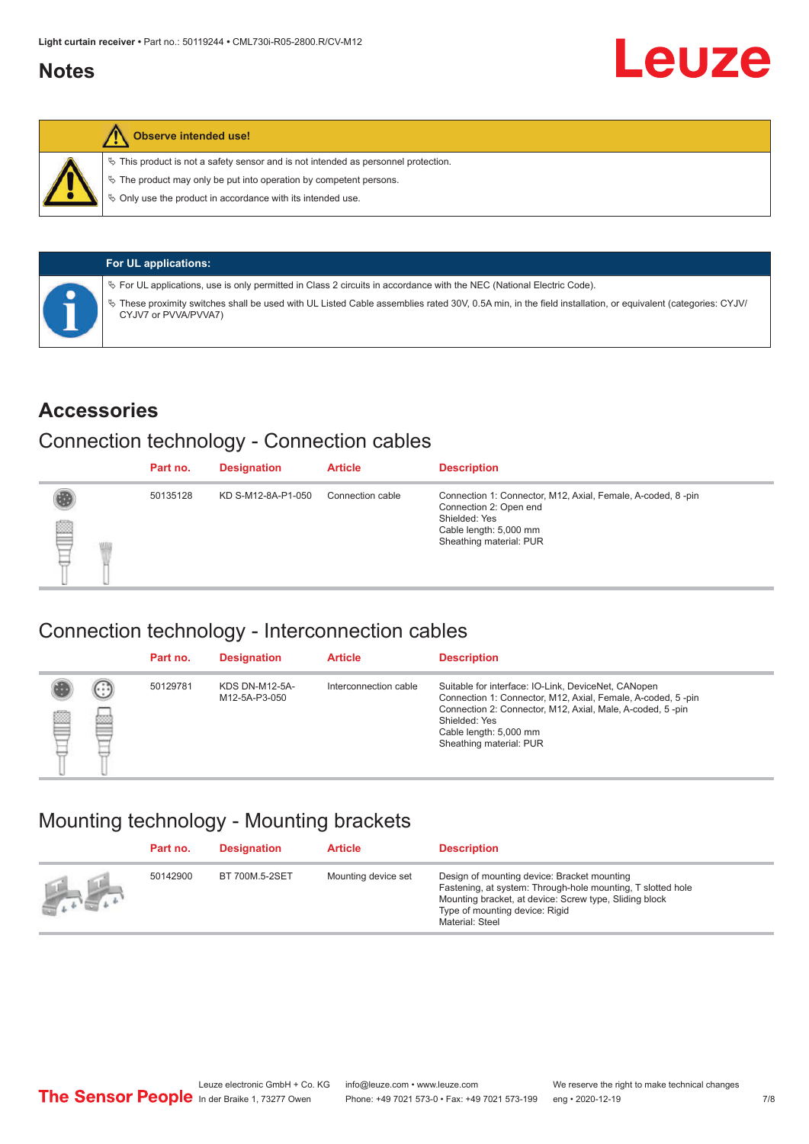#### <span id="page-6-0"></span>**Notes**



#### **Observe intended use!**

 $\%$  This product is not a safety sensor and is not intended as personnel protection.

 $\%$  The product may only be put into operation by competent persons.

 $\%$  Only use the product in accordance with its intended use.

| <b>For UL applications:</b>                                                                                                                                                       |
|-----------------------------------------------------------------------------------------------------------------------------------------------------------------------------------|
| $\%$ For UL applications, use is only permitted in Class 2 circuits in accordance with the NEC (National Electric Code).                                                          |
| V These proximity switches shall be used with UL Listed Cable assemblies rated 30V, 0.5A min, in the field installation, or equivalent (categories: CYJV/<br>CYJV7 or PVVA/PVVA7) |

#### **Accessories**

#### Connection technology - Connection cables

|   | Part no. | <b>Designation</b> | <b>Article</b>   | <b>Description</b>                                                                                                                                          |
|---|----------|--------------------|------------------|-------------------------------------------------------------------------------------------------------------------------------------------------------------|
| § | 50135128 | KD S-M12-8A-P1-050 | Connection cable | Connection 1: Connector, M12, Axial, Female, A-coded, 8-pin<br>Connection 2: Open end<br>Shielded: Yes<br>Cable length: 5,000 mm<br>Sheathing material: PUR |

#### Connection technology - Interconnection cables

|   |                      | Part no. | <b>Designation</b>                     | <b>Article</b>        | <b>Description</b>                                                                                                                                                                                                                                    |
|---|----------------------|----------|----------------------------------------|-----------------------|-------------------------------------------------------------------------------------------------------------------------------------------------------------------------------------------------------------------------------------------------------|
| ▤ | $(\cdot;\cdot)$<br>Þ | 50129781 | <b>KDS DN-M12-5A-</b><br>M12-5A-P3-050 | Interconnection cable | Suitable for interface: IO-Link, DeviceNet, CANopen<br>Connection 1: Connector, M12, Axial, Female, A-coded, 5-pin<br>Connection 2: Connector, M12, Axial, Male, A-coded, 5-pin<br>Shielded: Yes<br>Cable length: 5,000 mm<br>Sheathing material: PUR |

#### Mounting technology - Mounting brackets

|                 | Part no. | <b>Designation</b> | <b>Article</b>      | <b>Description</b>                                                                                                                                                                                                        |
|-----------------|----------|--------------------|---------------------|---------------------------------------------------------------------------------------------------------------------------------------------------------------------------------------------------------------------------|
| <b>All Card</b> | 50142900 | BT 700M.5-2SET     | Mounting device set | Design of mounting device: Bracket mounting<br>Fastening, at system: Through-hole mounting, T slotted hole<br>Mounting bracket, at device: Screw type, Sliding block<br>Type of mounting device: Rigid<br>Material: Steel |

Leuze